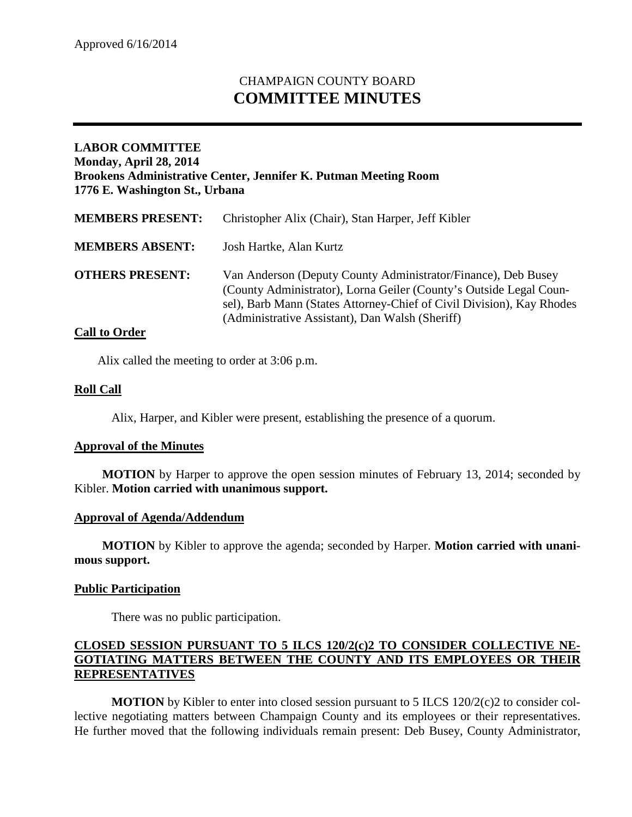# CHAMPAIGN COUNTY BOARD **COMMITTEE MINUTES**

## **LABOR COMMITTEE Monday, April 28, 2014 Brookens Administrative Center, Jennifer K. Putman Meeting Room 1776 E. Washington St., Urbana**

| <b>MEMBERS PRESENT:</b> | Christopher Alix (Chair), Stan Harper, Jeff Kibler                                                                                                                                                                                                              |
|-------------------------|-----------------------------------------------------------------------------------------------------------------------------------------------------------------------------------------------------------------------------------------------------------------|
| <b>MEMBERS ABSENT:</b>  | Josh Hartke, Alan Kurtz                                                                                                                                                                                                                                         |
| <b>OTHERS PRESENT:</b>  | Van Anderson (Deputy County Administrator/Finance), Deb Busey<br>(County Administrator), Lorna Geiler (County's Outside Legal Coun-<br>sel), Barb Mann (States Attorney-Chief of Civil Division), Kay Rhodes<br>(Administrative Assistant), Dan Walsh (Sheriff) |

## **Call to Order**

Alix called the meeting to order at 3:06 p.m.

## **Roll Call**

Alix, Harper, and Kibler were present, establishing the presence of a quorum.

#### **Approval of the Minutes**

**MOTION** by Harper to approve the open session minutes of February 13, 2014; seconded by Kibler. **Motion carried with unanimous support.**

#### **Approval of Agenda/Addendum**

**MOTION** by Kibler to approve the agenda; seconded by Harper. **Motion carried with unanimous support.**

#### **Public Participation**

There was no public participation.

## **CLOSED SESSION PURSUANT TO 5 ILCS 120/2(c)2 TO CONSIDER COLLECTIVE NE-GOTIATING MATTERS BETWEEN THE COUNTY AND ITS EMPLOYEES OR THEIR REPRESENTATIVES**

**MOTION** by Kibler to enter into closed session pursuant to 5 ILCS 120/2(c)2 to consider collective negotiating matters between Champaign County and its employees or their representatives. He further moved that the following individuals remain present: Deb Busey, County Administrator,